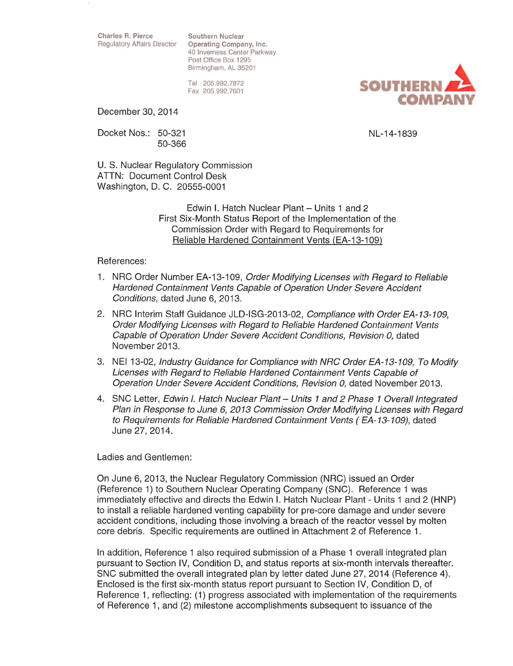Charles R. Pierce Southern Nuclear

Regulatory Affairs Director Operating Company, Inc. 40 Inverness Center Parkway Post Office Box 1295 Birmingham, AL 35201

> Tel 205.992.7872 Fax 205.992.7601

December 30, 2014

Docket Nos.: 50-321 50-366

NL-14-1839

U. S. Nuclear Regulatory Commission ATTN: Document Control Desk Washington, D. C. 20555-0001

> Edwin I. Hatch Nuclear Plant - Units 1 and 2 First Six-Month Status Report of the Implementation of the Commission Order with Regard to Requirements for Reliable Hardened Containment Vents (EA-13-109)

#### References:

- 1. NRC Order Number EA-13-109, Order Modifying Licenses with Regard to Reliable Hardened Containment Vents Capable of Operation Under Severe Accident Conditions, dated June 6, 2013.
- 2. NRC Interim Staff Guidance JLD-ISG-2013-02, Compliance with Order EA-13-109, Order Modifying Licenses with Regard to Reliable Hardened Containment Vents Capable of Operation Under Severe Accident Conditions, Revision 0, dated November 2013.
- 3. NEI 13-02, Industry Guidance for Compliance with NRC Order EA-13-109, To Modify Licenses with Regard to Reliable Hardened Containment Vents Capable of Operation Under Severe Accident Conditions, Revision 0, dated November 2013.
- 4. SNC Letter, Edwin I. Hatch Nuclear Plant Units 1 and 2 Phase 1 Overall Integrated Plan in Response to June 6, 2013 Commission Order Modifying Licenses with Regard to Requirements for Reliable Hardened Containment Vents (EA-13-109), dated June 27, 2014.

### Ladies and Gentlemen:

On June 6, 2013, the Nuclear Regulatory Commission (NRC) issued an Order (Reference 1) to Southern Nuclear Operating Company (SNC). Reference 1 was immediately effective and directs the Edwin I. Hatch Nuclear Plant- Units 1 and 2 (HNP) to install a reliable hardened venting capability for pre-core damage and under severe accident conditions, including those involving a breach of the reactor vessel by molten core debris. Specific requirements are outlined in Attachment 2 of Reference 1.

In addition, Reference 1 also required submission of a Phase 1 overall integrated plan pursuant to Section IV, Condition D, and status reports at six-month intervals thereafter. SNC submitted the overall integrated plan by letter dated June 27, 2014 (Reference 4). Enclosed is the first six-month status report pursuant to Section IV, Condition D, of Reference 1, reflecting: (1) progress associated with implementation of the requirements of Reference 1, and (2) milestone accomplishments subsequent to issuance of the

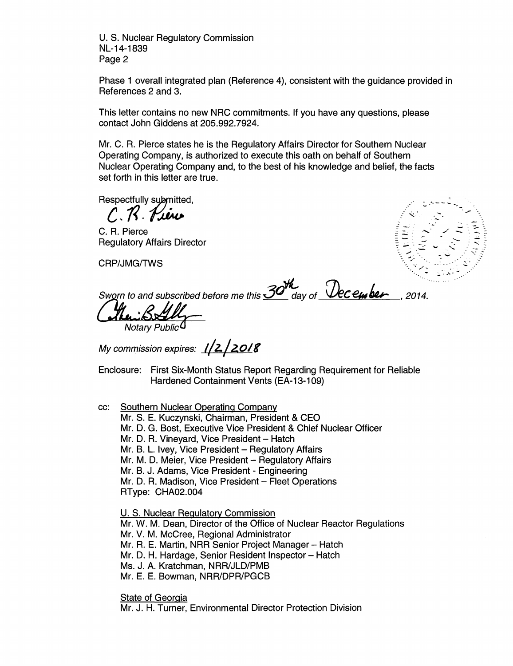U.S. Nuclear Regulatory Commission NL-14-1839 Page 2

Phase 1 overall integrated plan (Reference 4), consistent with the guidance provided in References 2 and 3.

This letter contains no new NRC commitments. If you have any questions, please contact John Giddens at 205.992.7924.

Mr. C. A. Pierce states he is the Regulatory Affairs Director for Southern Nuclear Operating Company, is authorized to execute this oath on behalf of Southern Nuclear Operating Company and, to the best of his knowledge and belief, the facts set forth in this letter are true.

Respectfully submitted.

 $C.R.R$ 

C. A. Pierce Regulatory Affairs Director

CRP/JMG/TWS

*\_:-* x· م<br>-<br>م

Sworn to and subscribed before me this 30th day of **December** , 2014.

Notary Public<sup>C</sup>

My commission expires: **1/2/2018** 

Enclosure: First Six-Month Status Report Regarding Requirement for Reliable Hardened Containment Vents (EA-13-109)

cc: Southern Nuclear Operating Company

Mr. S. E. Kuczynski, Chairman, President & CEO

Mr. D. G. Bost, Executive Vice President & Chief Nuclear Officer

Mr. D. R. Vineyard, Vice President - Hatch

Mr. B. L. Ivey, Vice President - Regulatory Affairs

Mr. M. D. Meier, Vice President - Regulatory Affairs

Mr. B. J. Adams, Vice President- Engineering

Mr. D. R. Madison, Vice President - Fleet Operations RType: CHA02.004

U. S. Nuclear Regulatorv Commission Mr. W. M. Dean, Director of the Office of Nuclear Reactor Regulations Mr. V. M. McCree, Regional Administrator Mr. R. E. Martin, NRR Senior Project Manager - Hatch Mr. D. H. Hardage, Senior Resident Inspector - Hatch Ms. J. A. Kratchman, NRR/JLD/PMB Mr. E. E. Bowman, NRR/DPR/PGCB State of Georgia

Mr. J. H. Turner, Environmental Director Protection Division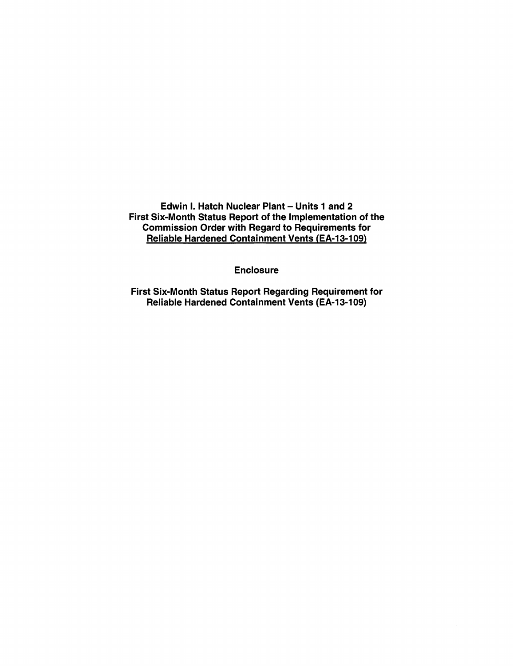Edwin I. Hatch Nuclear Plant - Units 1 and 2 First Six-Month Status Report of the Implementation of the Commission Order with Regard to Requirements for Reliable Hardened Containment Vents (EA-13-109)

Enclosure

First Six-Month Status Report Regarding Requirement for Reliable Hardened Containment Vents {EA-13-109)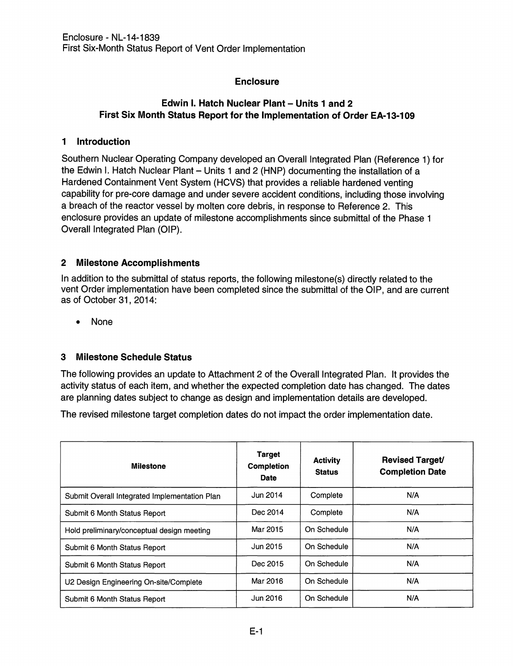# Enclosure

# Edwin I. Hatch Nuclear Plant - Units 1 and 2 First Six Month Status Report for the Implementation of Order EA-13-109

## 1 Introduction

Southern Nuclear Operating Company developed an Overall Integrated Plan (Reference 1) for the Edwin I. Hatch Nuclear Plant - Units 1 and 2 (HNP) documenting the installation of a Hardened Containment Vent System (HCVS) that provides a reliable hardened venting capability for pre-core damage and under severe accident conditions, including those involving a breach of the reactor vessel by molten core debris, in response to Reference 2. This enclosure provides an update of milestone accomplishments since submittal of the Phase 1 Overall Integrated Plan (OIP).

# 2 Milestone Accomplishments

In addition to the submittal of status reports, the following milestone(s) directly related to the vent Order implementation have been completed since the submittal of the OIP, and are current as of October 31, 2014:

• None

# 3 Milestone Schedule Status

The following provides an update to Attachment 2 of the Overall Integrated Plan. It provides the activity status of each item, and whether the expected completion date has changed. The dates are planning dates subject to change as design and implementation details are developed.

The revised milestone target completion dates do not impact the order implementation date.

| <b>Milestone</b>                              | <b>Target</b><br><b>Completion</b><br><b>Date</b> | <b>Activity</b><br><b>Status</b> | <b>Revised Target/</b><br><b>Completion Date</b> |
|-----------------------------------------------|---------------------------------------------------|----------------------------------|--------------------------------------------------|
| Submit Overall Integrated Implementation Plan | Jun 2014                                          | Complete                         | N/A                                              |
| Submit 6 Month Status Report                  | Dec 2014                                          | Complete                         | N/A                                              |
| Hold preliminary/conceptual design meeting    | Mar 2015                                          | On Schedule                      | N/A                                              |
| Submit 6 Month Status Report                  | Jun 2015                                          | On Schedule                      | N/A                                              |
| Submit 6 Month Status Report                  | Dec 2015                                          | On Schedule                      | N/A                                              |
| U2 Design Engineering On-site/Complete        | Mar 2016                                          | On Schedule                      | N/A                                              |
| Submit 6 Month Status Report                  | Jun 2016                                          | On Schedule                      | N/A                                              |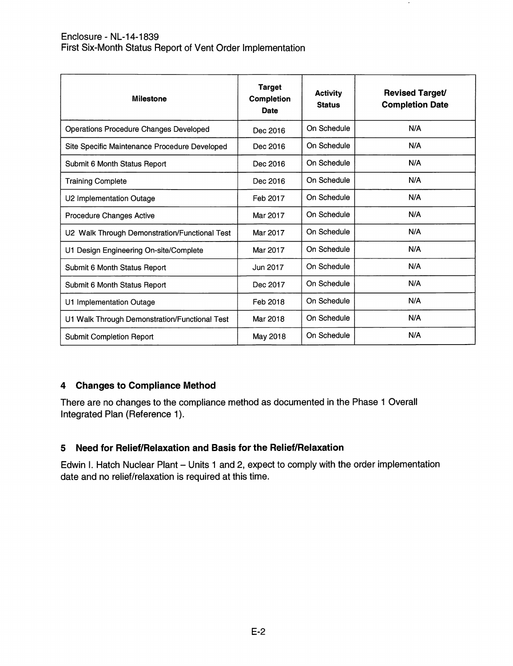### Enclosure- NL-14-1839 First Six-Month Status Report of Vent Order Implementation

| <b>Milestone</b>                              | <b>Target</b><br>Completion<br><b>Date</b> | <b>Activity</b><br><b>Status</b> | <b>Revised Target/</b><br><b>Completion Date</b> |
|-----------------------------------------------|--------------------------------------------|----------------------------------|--------------------------------------------------|
| <b>Operations Procedure Changes Developed</b> | Dec 2016                                   | On Schedule                      | N/A                                              |
| Site Specific Maintenance Procedure Developed | Dec 2016                                   | On Schedule                      | N/A                                              |
| Submit 6 Month Status Report                  | Dec 2016                                   | On Schedule                      | N/A                                              |
| <b>Training Complete</b>                      | Dec 2016                                   | On Schedule                      | N/A                                              |
| U2 Implementation Outage                      | Feb 2017                                   | On Schedule                      | N/A                                              |
| <b>Procedure Changes Active</b>               | Mar 2017                                   | On Schedule                      | N/A                                              |
| U2 Walk Through Demonstration/Functional Test | Mar 2017                                   | On Schedule                      | N/A                                              |
| U1 Design Engineering On-site/Complete        | Mar 2017                                   | On Schedule                      | N/A                                              |
| Submit 6 Month Status Report                  | Jun 2017                                   | On Schedule                      | N/A                                              |
| Submit 6 Month Status Report                  | Dec 2017                                   | On Schedule                      | N/A                                              |
| U1 Implementation Outage                      | Feb 2018                                   | On Schedule                      | N/A                                              |
| U1 Walk Through Demonstration/Functional Test | Mar 2018                                   | On Schedule                      | N/A                                              |
| <b>Submit Completion Report</b>               | May 2018                                   | On Schedule                      | N/A                                              |

 $\bullet$ 

### 4 Changes to Compliance Method

There are no changes to the compliance method as documented in the Phase 1 Overall Integrated Plan (Reference 1).

### 5 Need for Relief/Relaxation and Basis for the Relief/Relaxation

Edwin I. Hatch Nuclear Plant - Units 1 and 2, expect to comply with the order implementation date and no relief/relaxation is required at this time.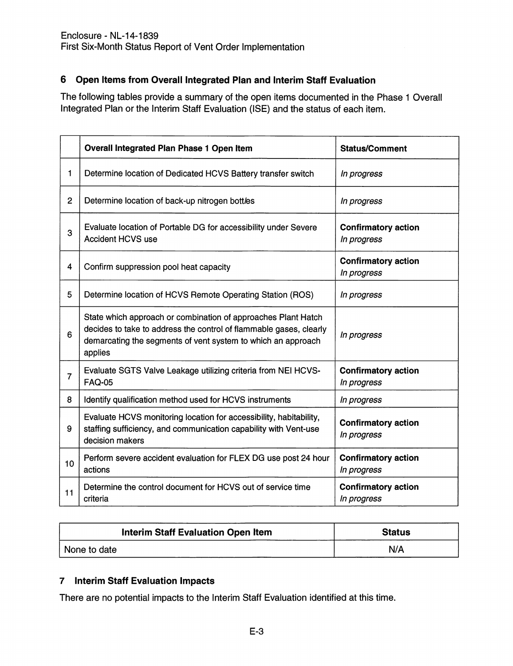# 6 Open Items from Overall Integrated Plan and Interim Staff Evaluation

The following tables provide a summary of the open items documented in the Phase 1 Overall Integrated Plan or the Interim Staff Evaluation (ISE) and the status of each item.

|                | Overall Integrated Plan Phase 1 Open Item                                                                                                                                                                      | <b>Status/Comment</b>                     |
|----------------|----------------------------------------------------------------------------------------------------------------------------------------------------------------------------------------------------------------|-------------------------------------------|
| 1              | Determine location of Dedicated HCVS Battery transfer switch                                                                                                                                                   | In progress                               |
| $\overline{2}$ | Determine location of back-up nitrogen bottles                                                                                                                                                                 | In progress                               |
| 3              | Evaluate location of Portable DG for accessibility under Severe<br><b>Accident HCVS use</b>                                                                                                                    | <b>Confirmatory action</b><br>In progress |
| 4              | Confirm suppression pool heat capacity                                                                                                                                                                         | <b>Confirmatory action</b><br>In progress |
| 5              | Determine location of HCVS Remote Operating Station (ROS)                                                                                                                                                      | In progress                               |
| 6              | State which approach or combination of approaches Plant Hatch<br>decides to take to address the control of flammable gases, clearly<br>demarcating the segments of vent system to which an approach<br>applies | In progress                               |
| $\overline{7}$ | Evaluate SGTS Valve Leakage utilizing criteria from NEI HCVS-<br><b>FAQ-05</b>                                                                                                                                 | <b>Confirmatory action</b><br>In progress |
| 8              | Identify qualification method used for HCVS instruments                                                                                                                                                        | In progress                               |
| 9              | Evaluate HCVS monitoring location for accessibility, habitability,<br>staffing sufficiency, and communication capability with Vent-use<br>decision makers                                                      | <b>Confirmatory action</b><br>In progress |
| 10             | Perform severe accident evaluation for FLEX DG use post 24 hour<br>actions                                                                                                                                     | <b>Confirmatory action</b><br>In progress |
| 11             | Determine the control document for HCVS out of service time<br>criteria                                                                                                                                        | <b>Confirmatory action</b><br>In progress |

| Interim Staff Evaluation Open Item | <b>Status</b> |
|------------------------------------|---------------|
| None to date                       | N/A           |

### 7 Interim Staff Evaluation Impacts

There are no potential impacts to the Interim Staff Evaluation identified at this time.